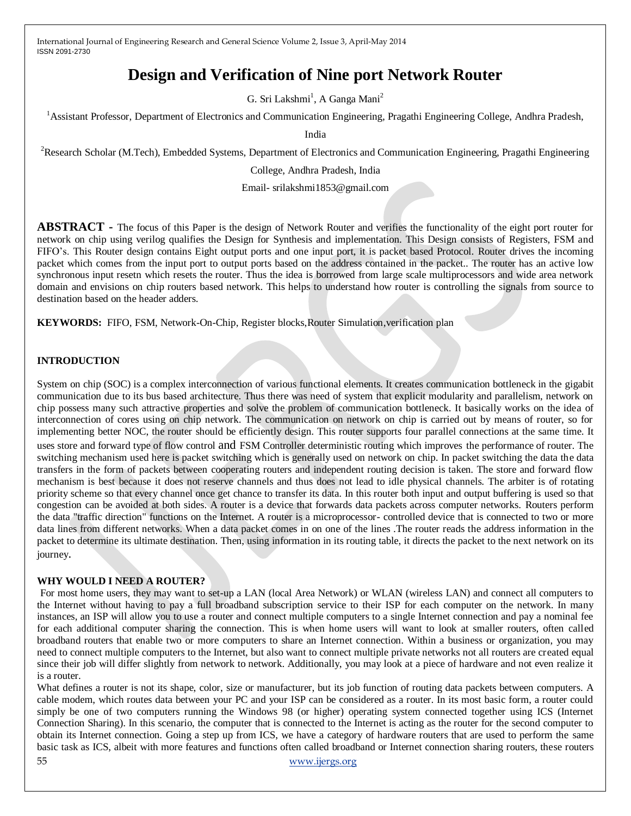# **Design and Verification of Nine port Network Router**

G. Sri Lakshmi<sup>1</sup>, A Ganga Mani<sup>2</sup>

<sup>1</sup>Assistant Professor, Department of Electronics and Communication Engineering, Pragathi Engineering College, Andhra Pradesh,

India

<sup>2</sup>Research Scholar (M.Tech), Embedded Systems, Department of Electronics and Communication Engineering, Pragathi Engineering

College, Andhra Pradesh, India

Email- srilakshmi1853@gmail.com

**ABSTRACT -** The focus of this Paper is the design of Network Router and verifies the functionality of the eight port router for network on chip using verilog qualifies the Design for Synthesis and implementation. This Design consists of Registers, FSM and FIFO's. This Router design contains Eight output ports and one input port, it is packet based Protocol. Router drives the incoming packet which comes from the input port to output ports based on the address contained in the packet.. The router has an active low synchronous input resetn which resets the router. Thus the idea is borrowed from large scale multiprocessors and wide area network domain and envisions on chip routers based network. This helps to understand how router is controlling the signals from source to destination based on the header adders.

**KEYWORDS:**FIFO, FSM, Network-On-Chip, Register blocks,Router Simulation,verification plan

### **INTRODUCTION**

System on chip (SOC) is a complex interconnection of various functional elements. It creates communication bottleneck in the gigabit communication due to its bus based architecture. Thus there was need of system that explicit modularity and parallelism, network on chip possess many such attractive properties and solve the problem of communication bottleneck. It basically works on the idea of interconnection of cores using on chip network. The communication on network on chip is carried out by means of router, so for implementing better NOC, the router should be efficiently design. This router supports four parallel connections at the same time. It uses store and forward type of flow control and FSM Controller deterministic routing which improves the performance of router. The switching mechanism used here is packet switching which is generally used on network on chip. In packet switching the data the data transfers in the form of packets between cooperating routers and independent routing decision is taken. The store and forward flow mechanism is best because it does not reserve channels and thus does not lead to idle physical channels. The arbiter is of rotating priority scheme so that every channel once get chance to transfer its data. In this router both input and output buffering is used so that congestion can be avoided at both sides. A router is a device that forwards data packets across computer networks. Routers perform the data "traffic direction" functions on the Internet. A router is a microprocessor- controlled device that is connected to two or more data lines from different networks. When a data packet comes in on one of the lines .The router reads the address information in the packet to determine its ultimate destination. Then, using information in its routing table, it directs the packet to the next network on its journey.

#### **WHY WOULD I NEED A ROUTER?**

For most home users, they may want to set-up a LAN (local Area Network) or WLAN (wireless LAN) and connect all computers to the Internet without having to pay a full broadband subscription service to their ISP for each computer on the network. In many instances, an ISP will allow you to use a router and connect multiple computers to a single Internet connection and pay a nominal fee for each additional computer sharing the connection. This is when home users will want to look at smaller routers, often called broadband routers that enable two or more computers to share an Internet connection. Within a business or organization, you may need to connect multiple computers to the Internet, but also want to connect multiple private networks not all routers are created equal since their job will differ slightly from network to network. Additionally, you may look at a piece of hardware and not even realize it is a router.

55 [www.ijergs.org](http://www.ijergs.org/) What defines a router is not its shape, color, size or manufacturer, but its job function of routing data packets between computers. A cable modem, which routes data between your PC and your ISP can be considered as a router. In its most basic form, a router could simply be one of two computers running the Windows 98 (or higher) operating system connected together using ICS (Internet Connection Sharing). In this scenario, the computer that is connected to the Internet is acting as the router for the second computer to obtain its Internet connection. Going a step up from ICS, we have a category of hardware routers that are used to perform the same basic task as ICS, albeit with more features and functions often called broadband or Internet connection sharing routers, these routers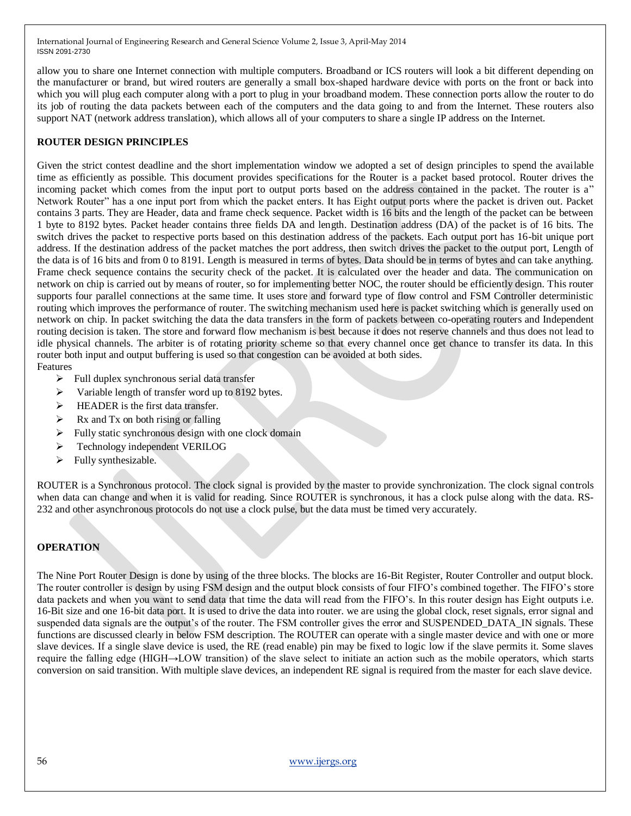allow you to share one Internet connection with multiple computers. Broadband or ICS routers will look a bit different depending on the manufacturer or brand, but wired routers are generally a small box-shaped hardware device with ports on the front or back into which you will plug each computer along with a port to plug in your broadband modem. These connection ports allow the router to do its job of routing the data packets between each of the computers and the data going to and from the Internet. These routers also support NAT (network address translation), which allows all of your computers to share a single IP address on the Internet.

## **ROUTER DESIGN PRINCIPLES**

Given the strict contest deadline and the short implementation window we adopted a set of design principles to spend the available time as efficiently as possible. This document provides specifications for the Router is a packet based protocol. Router drives the incoming packet which comes from the input port to output ports based on the address contained in the packet. The router is a" Network Router" has a one input port from which the packet enters. It has Eight output ports where the packet is driven out. Packet contains 3 parts. They are Header, data and frame check sequence. Packet width is 16 bits and the length of the packet can be between 1 byte to 8192 bytes. Packet header contains three fields DA and length. Destination address (DA) of the packet is of 16 bits. The switch drives the packet to respective ports based on this destination address of the packets. Each output port has 16-bit unique port address. If the destination address of the packet matches the port address, then switch drives the packet to the output port, Length of the data is of 16 bits and from 0 to 8191. Length is measured in terms of bytes. Data should be in terms of bytes and can take anything. Frame check sequence contains the security check of the packet. It is calculated over the header and data. The communication on network on chip is carried out by means of router, so for implementing better NOC, the router should be efficiently design. This router supports four parallel connections at the same time. It uses store and forward type of flow control and FSM Controller deterministic routing which improves the performance of router. The switching mechanism used here is packet switching which is generally used on network on chip. In packet switching the data the data transfers in the form of packets between co-operating routers and Independent routing decision is taken. The store and forward flow mechanism is best because it does not reserve channels and thus does not lead to idle physical channels. The arbiter is of rotating priority scheme so that every channel once get chance to transfer its data. In this router both input and output buffering is used so that congestion can be avoided at both sides. Features

- $\triangleright$  Full duplex synchronous serial data transfer
- $\triangleright$  Variable length of transfer word up to 8192 bytes.
- $\blacktriangleright$  HEADER is the first data transfer.
- $\triangleright$  Rx and Tx on both rising or falling
- $\triangleright$  Fully static synchronous design with one clock domain
- $\triangleright$  Technology independent VERILOG
- $\triangleright$  Fully synthesizable.

ROUTER is a Synchronous protocol. The clock signal is provided by the master to provide synchronization. The clock signal controls when data can change and when it is valid for reading. Since ROUTER is synchronous, it has a clock pulse along with the data. RS-232 and other asynchronous protocols do not use a clock pulse, but the data must be timed very accurately.

# **OPERATION**

The Nine Port Router Design is done by using of the three blocks. The blocks are 16-Bit Register, Router Controller and output block. The router controller is design by using FSM design and the output block consists of four FIFO's combined together. The FIFO's store data packets and when you want to send data that time the data will read from the FIFO's. In this router design has Eight outputs i.e. 16-Bit size and one 16-bit data port. It is used to drive the data into router. we are using the global clock, reset signals, error signal and suspended data signals are the output's of the router. The FSM controller gives the error and SUSPENDED\_DATA\_IN signals. These functions are discussed clearly in below FSM description. The ROUTER can operate with a single master device and with one or more slave devices. If a single slave device is used, the RE (read enable) pin may be fixed to logic low if the slave permits it. Some slaves require the falling edge (HIGH→LOW transition) of the slave select to initiate an action such as the mobile operators, which starts conversion on said transition. With multiple slave devices, an independent RE signal is required from the master for each slave device.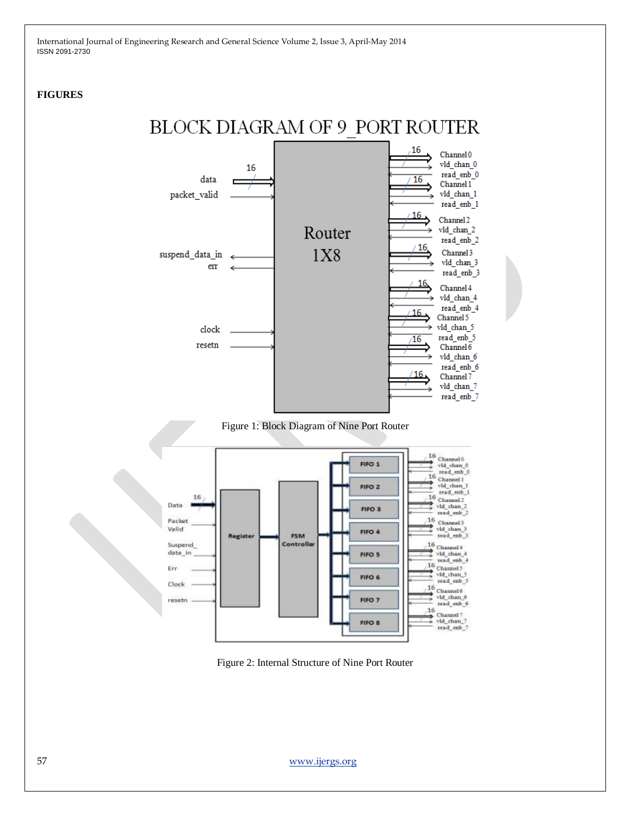#### **FIGURES**



Figure 2: Internal Structure of Nine Port Router

57 [www.ijergs.org](http://www.ijergs.org/)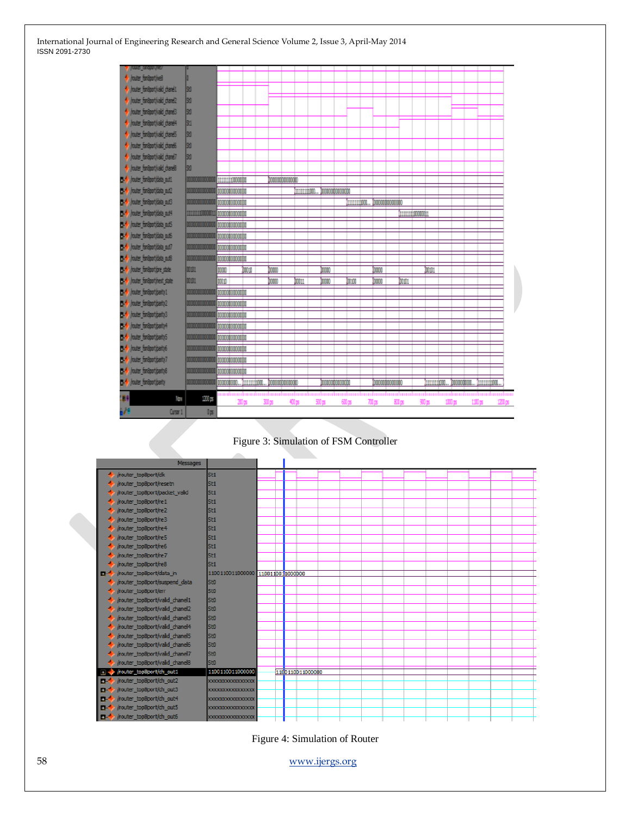

Figure 3: Simulation of FSM Controller



Figure 4: Simulation of Router

58 [www.ijergs.org](http://www.ijergs.org/)